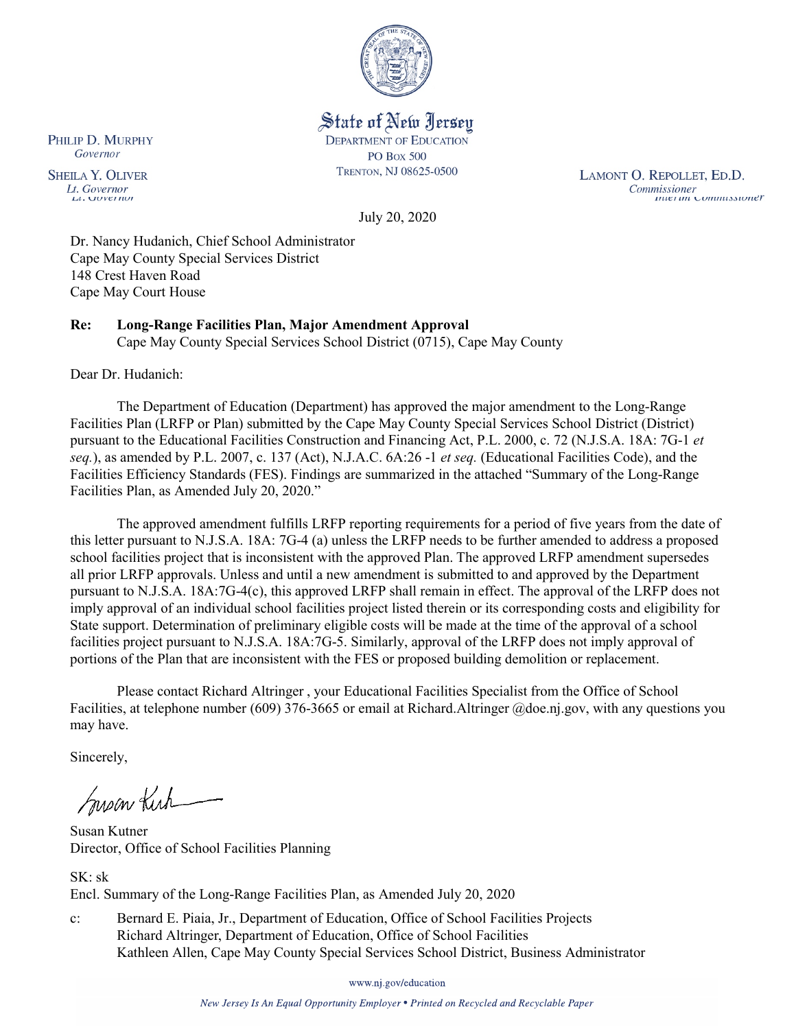

State of New Jersey **DEPARTMENT OF EDUCATION PO Box 500** TRENTON, NJ 08625-0500

LAMONT O. REPOLLET, ED.D. Commissioner<br>Thuer un Commussioner

July 20, 2020

Dr. Nancy Hudanich, Chief School Administrator Cape May County Special Services District 148 Crest Haven Road Cape May Court House

# **Re: Long-Range Facilities Plan, Major Amendment Approval**

Cape May County Special Services School District (0715), Cape May County

Dear Dr. Hudanich:

The Department of Education (Department) has approved the major amendment to the Long-Range Facilities Plan (LRFP or Plan) submitted by the Cape May County Special Services School District (District) pursuant to the Educational Facilities Construction and Financing Act, P.L. 2000, c. 72 (N.J.S.A. 18A: 7G-1 *et seq.*), as amended by P.L. 2007, c. 137 (Act), N.J.A.C. 6A:26 -1 *et seq.* (Educational Facilities Code), and the Facilities Efficiency Standards (FES). Findings are summarized in the attached "Summary of the Long-Range Facilities Plan, as Amended July 20, 2020."

The approved amendment fulfills LRFP reporting requirements for a period of five years from the date of this letter pursuant to N.J.S.A. 18A: 7G-4 (a) unless the LRFP needs to be further amended to address a proposed school facilities project that is inconsistent with the approved Plan. The approved LRFP amendment supersedes all prior LRFP approvals. Unless and until a new amendment is submitted to and approved by the Department pursuant to N.J.S.A. 18A:7G-4(c), this approved LRFP shall remain in effect. The approval of the LRFP does not imply approval of an individual school facilities project listed therein or its corresponding costs and eligibility for State support. Determination of preliminary eligible costs will be made at the time of the approval of a school facilities project pursuant to N.J.S.A. 18A:7G-5. Similarly, approval of the LRFP does not imply approval of portions of the Plan that are inconsistent with the FES or proposed building demolition or replacement.

Please contact Richard Altringer , your Educational Facilities Specialist from the Office of School Facilities, at telephone number (609) 376-3665 or email at Richard.Altringer @doe.nj.gov, with any questions you may have.

Sincerely,

Susan Kich

Susan Kutner Director, Office of School Facilities Planning

SK: sk Encl. Summary of the Long-Range Facilities Plan, as Amended July 20, 2020

c: Bernard E. Piaia, Jr., Department of Education, Office of School Facilities Projects Richard Altringer, Department of Education, Office of School Facilities Kathleen Allen, Cape May County Special Services School District, Business Administrator

www.nj.gov/education

New Jersey Is An Equal Opportunity Employer . Printed on Recycled and Recyclable Paper

PHILIP D. MURPHY Governor

**SHEILA Y. OLIVER** Lt. Governor  $\mu$ . *OUVET NOT*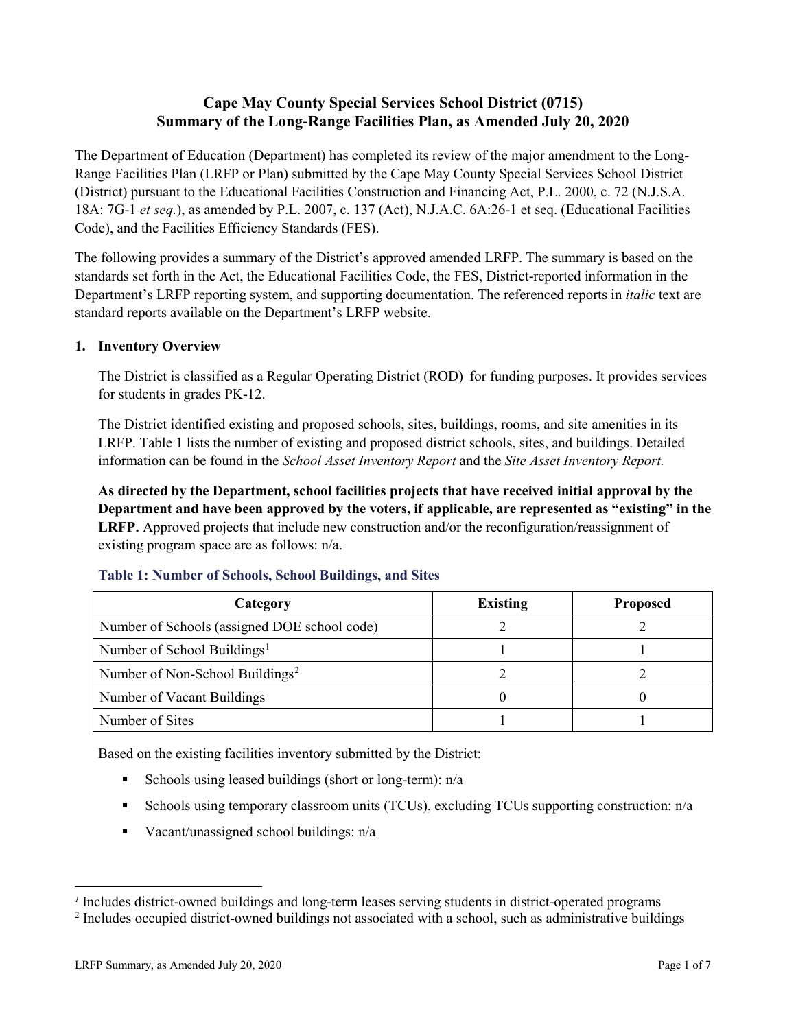# **Cape May County Special Services School District (0715) Summary of the Long-Range Facilities Plan, as Amended July 20, 2020**

The Department of Education (Department) has completed its review of the major amendment to the Long-Range Facilities Plan (LRFP or Plan) submitted by the Cape May County Special Services School District (District) pursuant to the Educational Facilities Construction and Financing Act, P.L. 2000, c. 72 (N.J.S.A. 18A: 7G-1 *et seq.*), as amended by P.L. 2007, c. 137 (Act), N.J.A.C. 6A:26-1 et seq. (Educational Facilities Code), and the Facilities Efficiency Standards (FES).

The following provides a summary of the District's approved amended LRFP. The summary is based on the standards set forth in the Act, the Educational Facilities Code, the FES, District-reported information in the Department's LRFP reporting system, and supporting documentation. The referenced reports in *italic* text are standard reports available on the Department's LRFP website.

# **1. Inventory Overview**

The District is classified as a Regular Operating District (ROD) for funding purposes. It provides services for students in grades PK-12.

The District identified existing and proposed schools, sites, buildings, rooms, and site amenities in its LRFP. Table 1 lists the number of existing and proposed district schools, sites, and buildings. Detailed information can be found in the *School Asset Inventory Report* and the *Site Asset Inventory Report.*

**As directed by the Department, school facilities projects that have received initial approval by the Department and have been approved by the voters, if applicable, are represented as "existing" in the LRFP.** Approved projects that include new construction and/or the reconfiguration/reassignment of existing program space are as follows: n/a.

| Category                                     | <b>Existing</b> | <b>Proposed</b> |  |
|----------------------------------------------|-----------------|-----------------|--|
| Number of Schools (assigned DOE school code) |                 |                 |  |
| Number of School Buildings <sup>1</sup>      |                 |                 |  |
| Number of Non-School Buildings <sup>2</sup>  |                 |                 |  |
| Number of Vacant Buildings                   |                 |                 |  |
| Number of Sites                              |                 |                 |  |

## **Table 1: Number of Schools, School Buildings, and Sites**

Based on the existing facilities inventory submitted by the District:

- Schools using leased buildings (short or long-term):  $n/a$
- Schools using temporary classroom units (TCUs), excluding TCUs supporting construction: n/a
- Vacant/unassigned school buildings:  $n/a$

 $\overline{a}$ 

<span id="page-1-1"></span><span id="page-1-0"></span>*<sup>1</sup>* Includes district-owned buildings and long-term leases serving students in district-operated programs

<sup>&</sup>lt;sup>2</sup> Includes occupied district-owned buildings not associated with a school, such as administrative buildings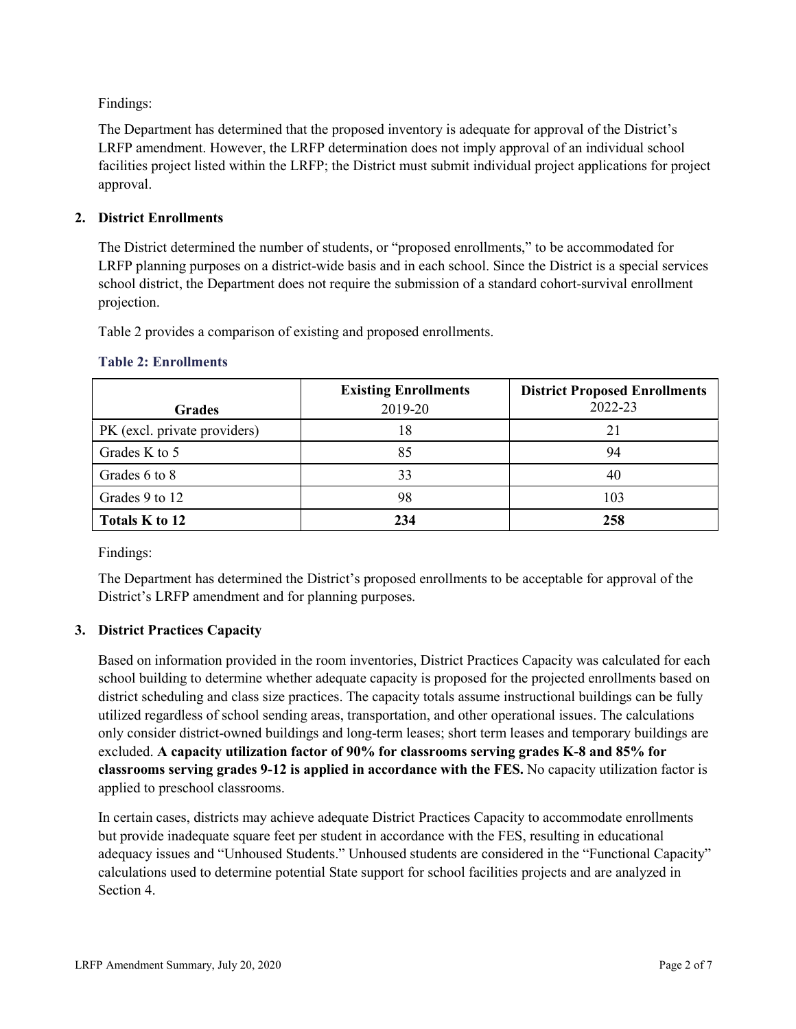Findings:

The Department has determined that the proposed inventory is adequate for approval of the District's LRFP amendment. However, the LRFP determination does not imply approval of an individual school facilities project listed within the LRFP; the District must submit individual project applications for project approval.

## **2. District Enrollments**

The District determined the number of students, or "proposed enrollments," to be accommodated for LRFP planning purposes on a district-wide basis and in each school. Since the District is a special services school district, the Department does not require the submission of a standard cohort-survival enrollment projection.

Table 2 provides a comparison of existing and proposed enrollments.

| <b>Grades</b>                | <b>Existing Enrollments</b><br>2019-20 | <b>District Proposed Enrollments</b><br>2022-23 |
|------------------------------|----------------------------------------|-------------------------------------------------|
| PK (excl. private providers) | 18                                     | 21                                              |
| Grades K to 5                | 85                                     | 94                                              |
| Grades 6 to 8                | 33                                     | 40                                              |
| Grades 9 to 12               | 98                                     | 103                                             |
| Totals K to 12               | 234                                    | 258                                             |

#### **Table 2: Enrollments**

Findings:

The Department has determined the District's proposed enrollments to be acceptable for approval of the District's LRFP amendment and for planning purposes.

## **3. District Practices Capacity**

Based on information provided in the room inventories, District Practices Capacity was calculated for each school building to determine whether adequate capacity is proposed for the projected enrollments based on district scheduling and class size practices. The capacity totals assume instructional buildings can be fully utilized regardless of school sending areas, transportation, and other operational issues. The calculations only consider district-owned buildings and long-term leases; short term leases and temporary buildings are excluded. **A capacity utilization factor of 90% for classrooms serving grades K-8 and 85% for classrooms serving grades 9-12 is applied in accordance with the FES.** No capacity utilization factor is applied to preschool classrooms.

In certain cases, districts may achieve adequate District Practices Capacity to accommodate enrollments but provide inadequate square feet per student in accordance with the FES, resulting in educational adequacy issues and "Unhoused Students." Unhoused students are considered in the "Functional Capacity" calculations used to determine potential State support for school facilities projects and are analyzed in Section 4.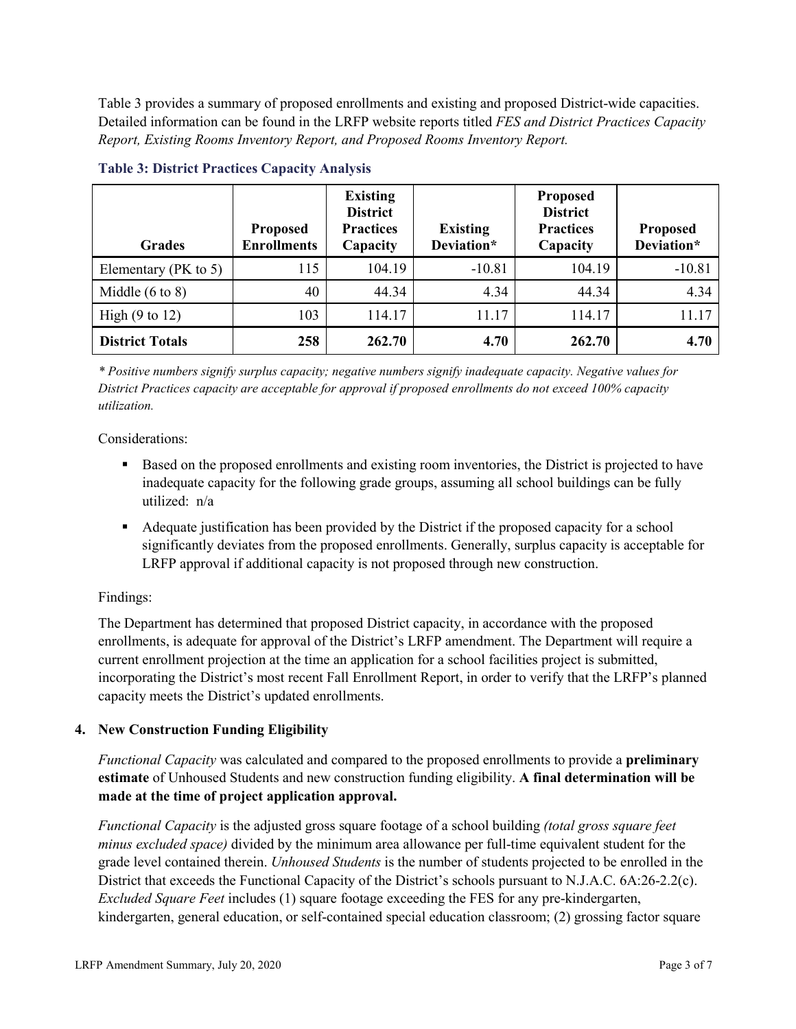Table 3 provides a summary of proposed enrollments and existing and proposed District-wide capacities. Detailed information can be found in the LRFP website reports titled *FES and District Practices Capacity Report, Existing Rooms Inventory Report, and Proposed Rooms Inventory Report.*

| <b>Grades</b>              | <b>Proposed</b><br><b>Enrollments</b> | <b>Existing</b><br><b>District</b><br><b>Practices</b><br>Capacity | <b>Existing</b><br>Deviation* | <b>Proposed</b><br><b>District</b><br><b>Practices</b><br>Capacity | <b>Proposed</b><br>Deviation* |
|----------------------------|---------------------------------------|--------------------------------------------------------------------|-------------------------------|--------------------------------------------------------------------|-------------------------------|
| Elementary ( $PK$ to 5)    | 115                                   | 104.19                                                             | $-10.81$                      | 104.19                                                             | $-10.81$                      |
| Middle $(6 \text{ to } 8)$ | 40                                    | 44.34                                                              | 4.34                          | 44.34                                                              | 4.34                          |
| High $(9 \text{ to } 12)$  | 103                                   | 114.17                                                             | 11.17                         | 114.17                                                             | 11.17                         |
| <b>District Totals</b>     | 258                                   | 262.70                                                             | 4.70                          | 262.70                                                             | 4.70                          |

#### **Table 3: District Practices Capacity Analysis**

*\* Positive numbers signify surplus capacity; negative numbers signify inadequate capacity. Negative values for District Practices capacity are acceptable for approval if proposed enrollments do not exceed 100% capacity utilization.*

Considerations:

- Based on the proposed enrollments and existing room inventories, the District is projected to have inadequate capacity for the following grade groups, assuming all school buildings can be fully utilized: n/a
- Adequate justification has been provided by the District if the proposed capacity for a school significantly deviates from the proposed enrollments. Generally, surplus capacity is acceptable for LRFP approval if additional capacity is not proposed through new construction.

## Findings:

The Department has determined that proposed District capacity, in accordance with the proposed enrollments, is adequate for approval of the District's LRFP amendment. The Department will require a current enrollment projection at the time an application for a school facilities project is submitted, incorporating the District's most recent Fall Enrollment Report, in order to verify that the LRFP's planned capacity meets the District's updated enrollments.

## **4. New Construction Funding Eligibility**

*Functional Capacity* was calculated and compared to the proposed enrollments to provide a **preliminary estimate** of Unhoused Students and new construction funding eligibility. **A final determination will be made at the time of project application approval.**

*Functional Capacity* is the adjusted gross square footage of a school building *(total gross square feet minus excluded space)* divided by the minimum area allowance per full-time equivalent student for the grade level contained therein. *Unhoused Students* is the number of students projected to be enrolled in the District that exceeds the Functional Capacity of the District's schools pursuant to N.J.A.C. 6A:26-2.2(c). *Excluded Square Feet* includes (1) square footage exceeding the FES for any pre-kindergarten, kindergarten, general education, or self-contained special education classroom; (2) grossing factor square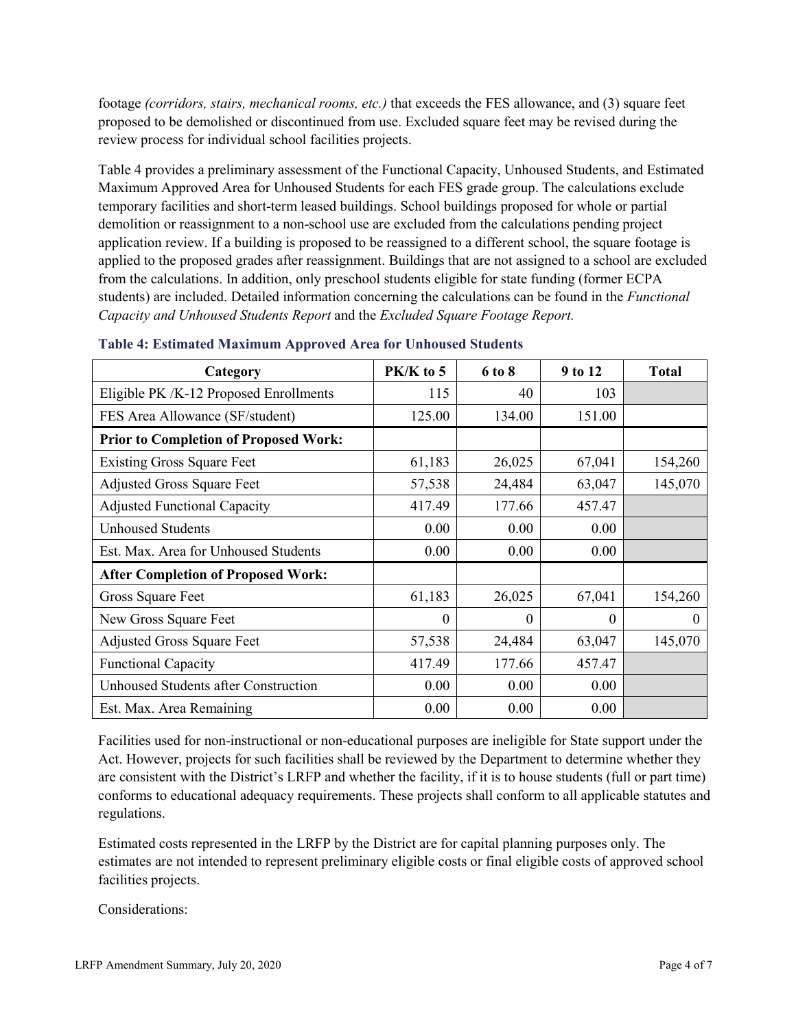footage *(corridors, stairs, mechanical rooms, etc.)* that exceeds the FES allowance, and (3) square feet proposed to be demolished or discontinued from use. Excluded square feet may be revised during the review process for individual school facilities projects.

Table 4 provides a preliminary assessment of the Functional Capacity, Unhoused Students, and Estimated Maximum Approved Area for Unhoused Students for each FES grade group. The calculations exclude temporary facilities and short-term leased buildings. School buildings proposed for whole or partial demolition or reassignment to a non-school use are excluded from the calculations pending project application review. If a building is proposed to be reassigned to a different school, the square footage is applied to the proposed grades after reassignment. Buildings that are not assigned to a school are excluded from the calculations. In addition, only preschool students eligible for state funding (former ECPA students) are included. Detailed information concerning the calculations can be found in the *Functional Capacity and Unhoused Students Report* and the *Excluded Square Footage Report.*

| Category                                     | $PK/K$ to 5 | 6 to 8   | 9 to 12 | <b>Total</b> |
|----------------------------------------------|-------------|----------|---------|--------------|
| Eligible PK /K-12 Proposed Enrollments       | 115         | 40       | 103     |              |
| FES Area Allowance (SF/student)              | 125.00      | 134.00   | 151.00  |              |
| <b>Prior to Completion of Proposed Work:</b> |             |          |         |              |
| <b>Existing Gross Square Feet</b>            | 61,183      | 26,025   | 67,041  | 154,260      |
| <b>Adjusted Gross Square Feet</b>            | 57,538      | 24,484   | 63,047  | 145,070      |
| <b>Adjusted Functional Capacity</b>          | 417.49      | 177.66   | 457.47  |              |
| <b>Unhoused Students</b>                     | 0.00        | 0.00     | 0.00    |              |
| Est. Max. Area for Unhoused Students         | 0.00        | 0.00     | 0.00    |              |
| <b>After Completion of Proposed Work:</b>    |             |          |         |              |
| Gross Square Feet                            | 61,183      | 26,025   | 67,041  | 154,260      |
| New Gross Square Feet                        | $\theta$    | $\theta$ | 0       | $\theta$     |
| <b>Adjusted Gross Square Feet</b>            | 57,538      | 24,484   | 63,047  | 145,070      |
| <b>Functional Capacity</b>                   | 417.49      | 177.66   | 457.47  |              |
| Unhoused Students after Construction         | 0.00        | 0.00     | 0.00    |              |
| Est. Max. Area Remaining                     | 0.00        | 0.00     | 0.00    |              |

**Table 4: Estimated Maximum Approved Area for Unhoused Students**

Facilities used for non-instructional or non-educational purposes are ineligible for State support under the Act. However, projects for such facilities shall be reviewed by the Department to determine whether they are consistent with the District's LRFP and whether the facility, if it is to house students (full or part time) conforms to educational adequacy requirements. These projects shall conform to all applicable statutes and regulations.

Estimated costs represented in the LRFP by the District are for capital planning purposes only. The estimates are not intended to represent preliminary eligible costs or final eligible costs of approved school facilities projects.

Considerations: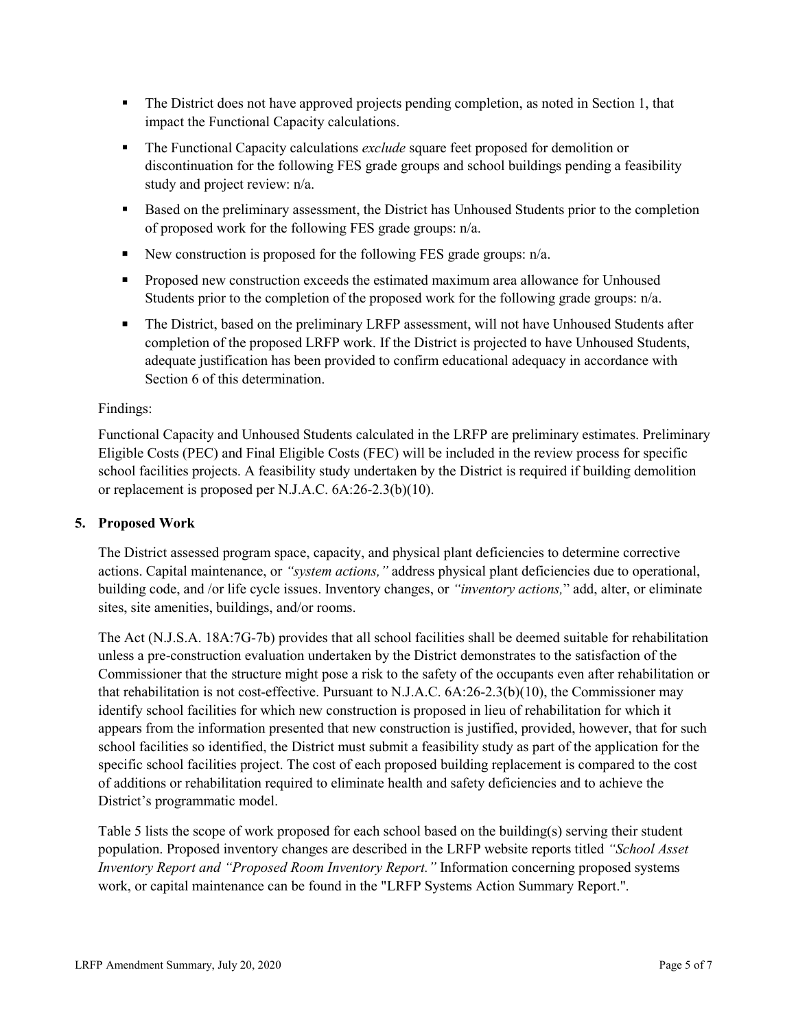- The District does not have approved projects pending completion, as noted in Section 1, that impact the Functional Capacity calculations.
- The Functional Capacity calculations *exclude* square feet proposed for demolition or discontinuation for the following FES grade groups and school buildings pending a feasibility study and project review: n/a.
- Based on the preliminary assessment, the District has Unhoused Students prior to the completion of proposed work for the following FES grade groups: n/a.
- New construction is proposed for the following FES grade groups:  $n/a$ .
- Proposed new construction exceeds the estimated maximum area allowance for Unhoused Students prior to the completion of the proposed work for the following grade groups: n/a.
- The District, based on the preliminary LRFP assessment, will not have Unhoused Students after completion of the proposed LRFP work. If the District is projected to have Unhoused Students, adequate justification has been provided to confirm educational adequacy in accordance with Section 6 of this determination.

#### Findings:

Functional Capacity and Unhoused Students calculated in the LRFP are preliminary estimates. Preliminary Eligible Costs (PEC) and Final Eligible Costs (FEC) will be included in the review process for specific school facilities projects. A feasibility study undertaken by the District is required if building demolition or replacement is proposed per N.J.A.C. 6A:26-2.3(b)(10).

#### **5. Proposed Work**

The District assessed program space, capacity, and physical plant deficiencies to determine corrective actions. Capital maintenance, or *"system actions,"* address physical plant deficiencies due to operational, building code, and /or life cycle issues. Inventory changes, or *"inventory actions,*" add, alter, or eliminate sites, site amenities, buildings, and/or rooms.

The Act (N.J.S.A. 18A:7G-7b) provides that all school facilities shall be deemed suitable for rehabilitation unless a pre-construction evaluation undertaken by the District demonstrates to the satisfaction of the Commissioner that the structure might pose a risk to the safety of the occupants even after rehabilitation or that rehabilitation is not cost-effective. Pursuant to N.J.A.C. 6A:26-2.3(b)(10), the Commissioner may identify school facilities for which new construction is proposed in lieu of rehabilitation for which it appears from the information presented that new construction is justified, provided, however, that for such school facilities so identified, the District must submit a feasibility study as part of the application for the specific school facilities project. The cost of each proposed building replacement is compared to the cost of additions or rehabilitation required to eliminate health and safety deficiencies and to achieve the District's programmatic model.

Table 5 lists the scope of work proposed for each school based on the building(s) serving their student population. Proposed inventory changes are described in the LRFP website reports titled *"School Asset Inventory Report and "Proposed Room Inventory Report."* Information concerning proposed systems work, or capital maintenance can be found in the "LRFP Systems Action Summary Report.".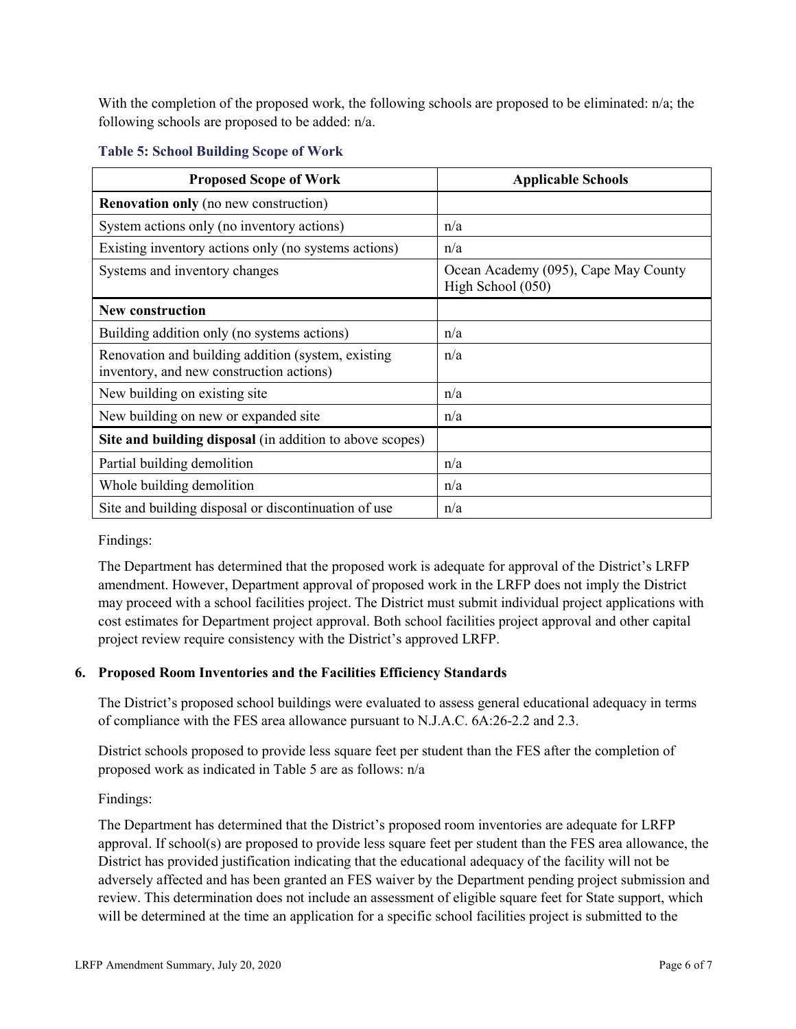With the completion of the proposed work, the following schools are proposed to be eliminated: n/a; the following schools are proposed to be added: n/a.

| <b>Proposed Scope of Work</b>                                                                  | <b>Applicable Schools</b>                                 |
|------------------------------------------------------------------------------------------------|-----------------------------------------------------------|
| <b>Renovation only</b> (no new construction)                                                   |                                                           |
| System actions only (no inventory actions)                                                     | n/a                                                       |
| Existing inventory actions only (no systems actions)                                           | n/a                                                       |
| Systems and inventory changes                                                                  | Ocean Academy (095), Cape May County<br>High School (050) |
| <b>New construction</b>                                                                        |                                                           |
| Building addition only (no systems actions)                                                    | n/a                                                       |
| Renovation and building addition (system, existing<br>inventory, and new construction actions) | n/a                                                       |
| New building on existing site                                                                  | n/a                                                       |
| New building on new or expanded site                                                           | n/a                                                       |
| Site and building disposal (in addition to above scopes)                                       |                                                           |
| Partial building demolition                                                                    | n/a                                                       |
| Whole building demolition                                                                      | n/a                                                       |
| Site and building disposal or discontinuation of use                                           | n/a                                                       |

#### **Table 5: School Building Scope of Work**

Findings:

The Department has determined that the proposed work is adequate for approval of the District's LRFP amendment. However, Department approval of proposed work in the LRFP does not imply the District may proceed with a school facilities project. The District must submit individual project applications with cost estimates for Department project approval. Both school facilities project approval and other capital project review require consistency with the District's approved LRFP.

## **6. Proposed Room Inventories and the Facilities Efficiency Standards**

The District's proposed school buildings were evaluated to assess general educational adequacy in terms of compliance with the FES area allowance pursuant to N.J.A.C. 6A:26-2.2 and 2.3.

District schools proposed to provide less square feet per student than the FES after the completion of proposed work as indicated in Table 5 are as follows: n/a

Findings:

The Department has determined that the District's proposed room inventories are adequate for LRFP approval. If school(s) are proposed to provide less square feet per student than the FES area allowance, the District has provided justification indicating that the educational adequacy of the facility will not be adversely affected and has been granted an FES waiver by the Department pending project submission and review. This determination does not include an assessment of eligible square feet for State support, which will be determined at the time an application for a specific school facilities project is submitted to the